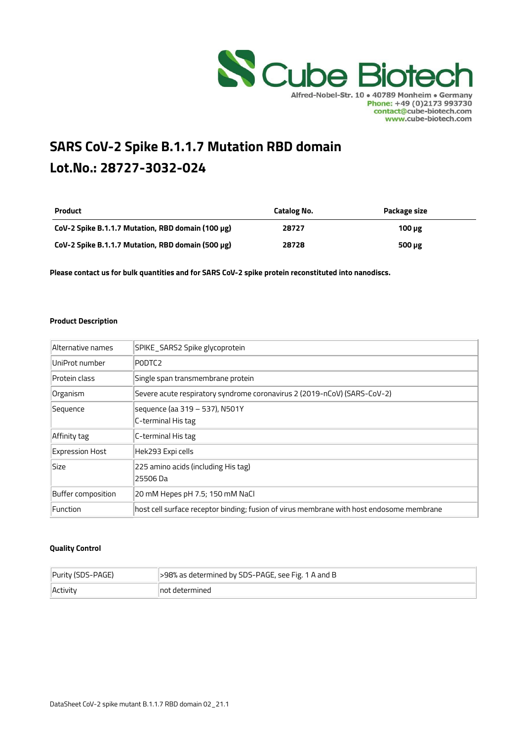

# SARS CoV-2 Spike B.1.1.7 Mutation RBD domain Lot.No.: 28727-3032-024

| <b>Product</b>                                    | Catalog No. | Package size |
|---------------------------------------------------|-------------|--------------|
| CoV-2 Spike B.1.1.7 Mutation, RBD domain (100 µg) | 28727       | $100 \mu$ g  |
| CoV-2 Spike B.1.1.7 Mutation, RBD domain (500 µg) | 28728       | 500 $\mu$ g  |

Please contact us for bulk quantities and for SARS CoV-2 spike protein reconstituted into nanodiscs.

#### Product Description

| Alternative names      | SPIKE_SARS2 Spike glycoprotein                                                           |
|------------------------|------------------------------------------------------------------------------------------|
| UniProt number         | PODTC2                                                                                   |
| Protein class          | Single span transmembrane protein                                                        |
| Organism               | Severe acute respiratory syndrome coronavirus 2 (2019-nCoV) (SARS-CoV-2)                 |
| Sequence               | sequence (aa 319 – 537), N501Y<br>C-terminal His tag                                     |
| Affinity tag           | C-terminal His tag                                                                       |
| <b>Expression Host</b> | Hek293 Expi cells                                                                        |
| Size                   | 225 amino acids (including His tag)<br>25506 Da                                          |
| Buffer composition     | 20 mM Hepes pH 7.5; 150 mM NaCl                                                          |
| Function               | host cell surface receptor binding; fusion of virus membrane with host endosome membrane |

#### Quality Control

| Purity (SDS-PAGE) | 598% as determined by SDS-PAGE, see Fig. 1 A and B |
|-------------------|----------------------------------------------------|
| Activity          | lnot determined                                    |